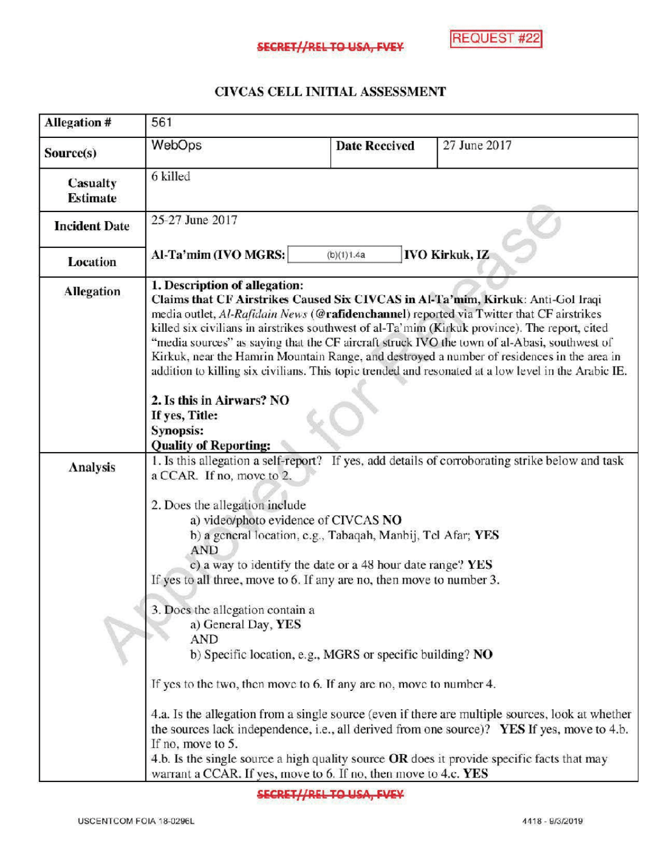## CIVCAS CELL INITIAL ASSESSMENT

| <b>Allegation #</b>         | 561                                                                                                                                                                                                                                                                                                                                                                                                                                                                                                                                                                                                                                                                                                                       |                                                                                                                                                                                        |                                                                                                                                                                                                                                                                                                                                                                                                  |
|-----------------------------|---------------------------------------------------------------------------------------------------------------------------------------------------------------------------------------------------------------------------------------------------------------------------------------------------------------------------------------------------------------------------------------------------------------------------------------------------------------------------------------------------------------------------------------------------------------------------------------------------------------------------------------------------------------------------------------------------------------------------|----------------------------------------------------------------------------------------------------------------------------------------------------------------------------------------|--------------------------------------------------------------------------------------------------------------------------------------------------------------------------------------------------------------------------------------------------------------------------------------------------------------------------------------------------------------------------------------------------|
| Source(s)                   | WebOps                                                                                                                                                                                                                                                                                                                                                                                                                                                                                                                                                                                                                                                                                                                    | <b>Date Reccived</b>                                                                                                                                                                   | 27 June 2017                                                                                                                                                                                                                                                                                                                                                                                     |
| Casualty<br><b>Estimate</b> | 6 killed                                                                                                                                                                                                                                                                                                                                                                                                                                                                                                                                                                                                                                                                                                                  |                                                                                                                                                                                        |                                                                                                                                                                                                                                                                                                                                                                                                  |
| <b>Incident Date</b>        | 25-27 June 2017                                                                                                                                                                                                                                                                                                                                                                                                                                                                                                                                                                                                                                                                                                           |                                                                                                                                                                                        |                                                                                                                                                                                                                                                                                                                                                                                                  |
| <b>Location</b>             | <b>IVO Kirkuk, IZ</b><br>Al-Ta'mim (IVO MGRS:<br>(b)(1)1.4a                                                                                                                                                                                                                                                                                                                                                                                                                                                                                                                                                                                                                                                               |                                                                                                                                                                                        |                                                                                                                                                                                                                                                                                                                                                                                                  |
| <b>Allegation</b>           | 1. Description of allegation:<br>Claims that CF Airstrikes Caused Six CIVCAS in Al-Ta'mim, Kirkuk: Anti-Gol Iraqi<br>media outlet, Al-Rafidain News (@rafidenchannel) reported via Twitter that CF airstrikes<br>killed six civilians in airstrikes southwest of al-Ta'mim (Kirkuk province). The report, cited<br>"media sources" as saying that the CF aircraft struck IVO the town of al-Abasi, southwest of<br>Kirkuk, near the Hamrin Mountain Range, and destroyed a number of residences in the area in<br>addition to killing six civilians. This topic trended and resonated at a low level in the Arabic IE.<br>2. Is this in Airwars? NO<br>If yes, Title:<br><b>Synopsis:</b><br><b>Quality of Reporting:</b> |                                                                                                                                                                                        |                                                                                                                                                                                                                                                                                                                                                                                                  |
| Analysis                    | a CCAR. If no, move to 2.<br>2. Does the allegation include<br>a) video/photo evidence of CIVCAS NO<br><b>AND</b><br>If yes to all three, move to 6. If any are no, then move to number 3.<br>3. Does the allegation contain a<br>a) General Day, YES<br>AND<br>If yes to the two, then move to 6. If any are no, move to number 4.<br>If no, move to 5.                                                                                                                                                                                                                                                                                                                                                                  | b) a general location, e.g., Tabaqah, Manbij, Tel Afar; YES<br>c) a way to identify the date or a 48 hour date range? YES<br>b) Specific location, e.g., MGRS or specific building? NO | 1. Is this allegation a self-report? If yes, add details of corroborating strike below and task<br>4.a. Is the allegation from a single source (even if there are multiple sources, look at whether<br>the sources lack independence, i.e., all derived from one source)? YES If yes, move to 4.b.<br>4.b. Is the single source a high quality source OR does it provide specific facts that may |

SECRET//REL TO USA, FVEY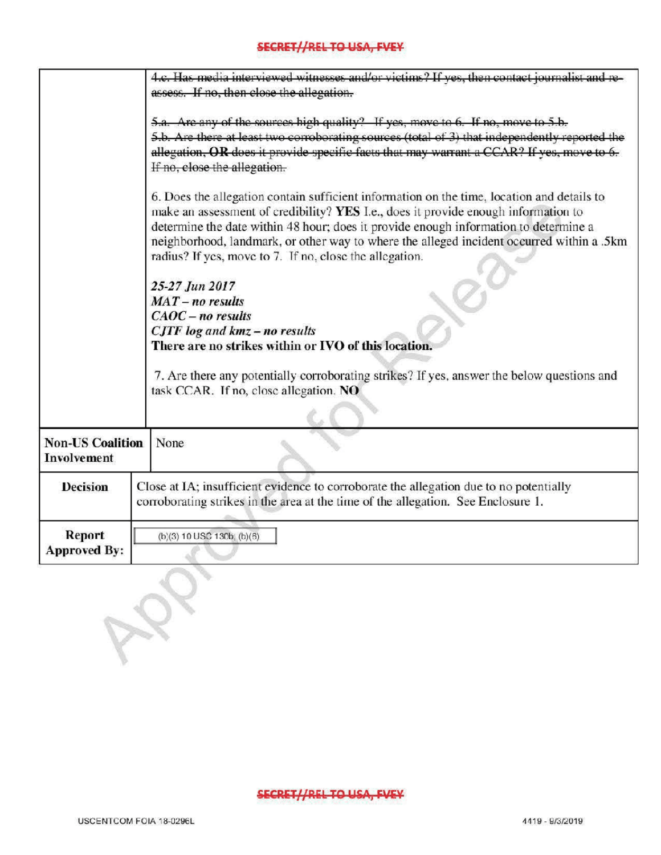## SECRET//REL TO USA, FVEY

|                                               | 4.c. Has media interviewed witnesses and/or victims? If yes, then contact iournalist and re-<br>assess. If no, then close the allegation.<br>5.a. Are any of the sources high quality? If yes, move to 6. If no, move to 5.b.<br>5.b. Are there at least two corroborating sources (total of 3) that independently reported the<br>allegation, OR does it provide specific facts that may warrant a CCAR? If yes, move to<br>If no, close the allegation.                                                                            |  |  |
|-----------------------------------------------|--------------------------------------------------------------------------------------------------------------------------------------------------------------------------------------------------------------------------------------------------------------------------------------------------------------------------------------------------------------------------------------------------------------------------------------------------------------------------------------------------------------------------------------|--|--|
|                                               |                                                                                                                                                                                                                                                                                                                                                                                                                                                                                                                                      |  |  |
|                                               | 6. Does the allegation contain sufficient information on the time, location and details to<br>make an assessment of credibility? YES I.e., does it provide enough information to<br>determine the date within 48 hour; does it provide enough information to determine a<br>neighborhood, landmark, or other way to where the alleged incident occurred within a .5km<br>radius? If yes, move to 7. If no, close the allegation.<br>25-27 Jun 2017<br>$MAT - no results$<br>$CAOC - no results$<br>$CJTF$ log and $kmz$ – no results |  |  |
|                                               | There are no strikes within or IVO of this location.<br>7. Are there any potentially corroborating strikes? If yes, answer the below questions and<br>task CCAR. If no, close allegation. NO                                                                                                                                                                                                                                                                                                                                         |  |  |
| <b>Non-US Coalition</b><br><b>Involvement</b> | None                                                                                                                                                                                                                                                                                                                                                                                                                                                                                                                                 |  |  |
| <b>Decision</b>                               | Close at IA; insufficient evidence to corroborate the allegation due to no potentially<br>corroborating strikes in the area at the time of the allegation. See Enclosure 1.                                                                                                                                                                                                                                                                                                                                                          |  |  |
| Report<br><b>Approved By:</b>                 | (b)(3) 10 USC 130b; (b)(6)                                                                                                                                                                                                                                                                                                                                                                                                                                                                                                           |  |  |
|                                               |                                                                                                                                                                                                                                                                                                                                                                                                                                                                                                                                      |  |  |
|                                               |                                                                                                                                                                                                                                                                                                                                                                                                                                                                                                                                      |  |  |

## SECRET//REL TO USA, FVEY